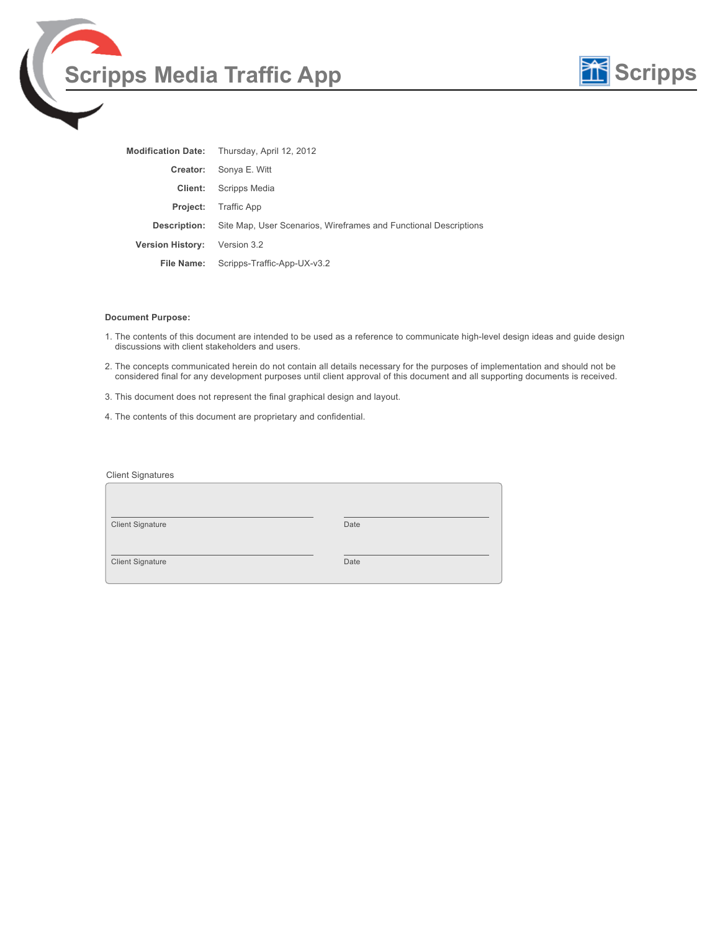



| <b>Modification Date:</b> | Thursday, April 12, 2012                                         |
|---------------------------|------------------------------------------------------------------|
| Creator:                  | Sonya E. Witt                                                    |
| Client:                   | Scripps Media                                                    |
| <b>Project:</b>           | Traffic App                                                      |
| <b>Description:</b>       | Site Map, User Scenarios, Wireframes and Functional Descriptions |
| <b>Version History:</b>   | Version 3.2                                                      |
| File Name:                | Scripps-Traffic-App-UX-v3.2                                      |

#### **Document Purpose:**

- 1. The contents of this document are intended to be used as a reference to communicate high-level design ideas and guide design discussions with client stakeholders and users.
- 2. The concepts communicated herein do not contain all details necessary for the purposes of implementation and should not be considered final for any development purposes until client approval of this document and all supporting documents is received.
- 3. This document does not represent the final graphical design and layout.
- 4. The contents of this document are proprietary and confidential.

| <b>Client Signatures</b> |      |
|--------------------------|------|
|                          |      |
| <b>Client Signature</b>  | Date |
| <b>Client Signature</b>  | Date |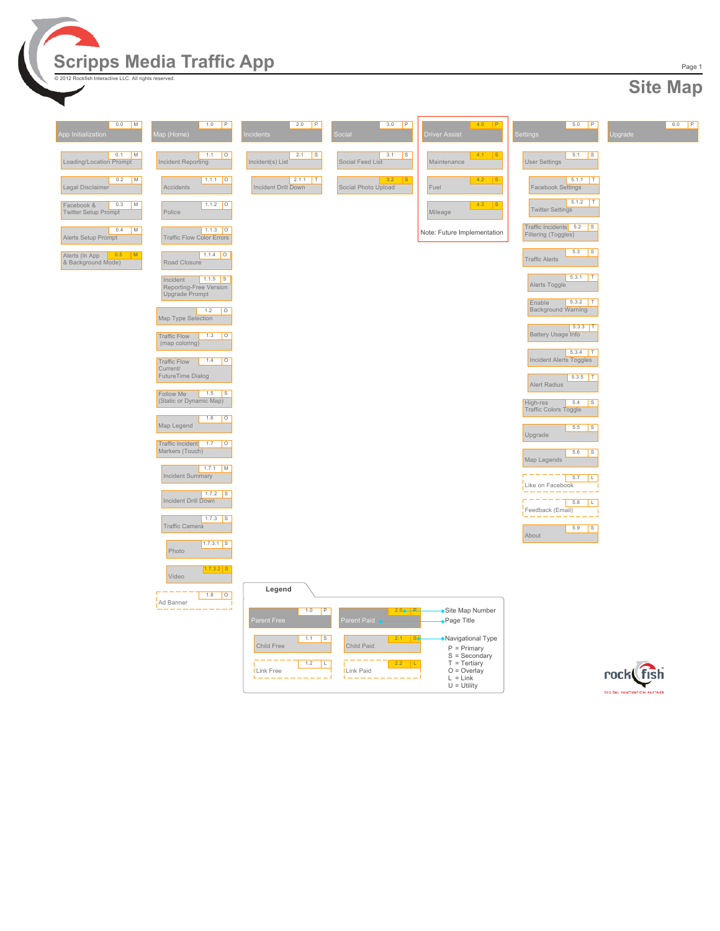

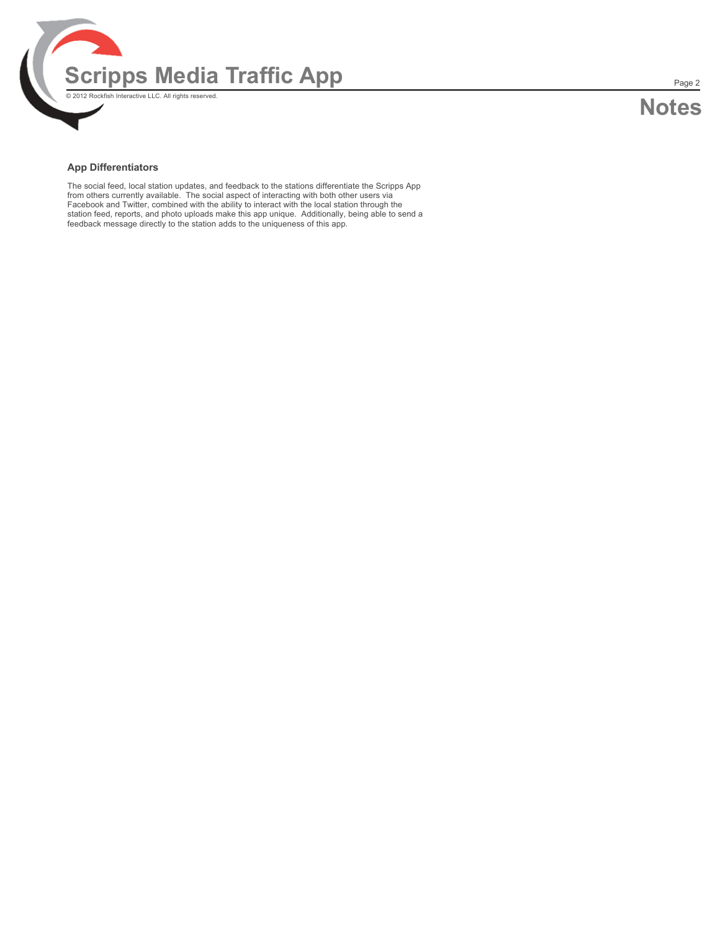

#### **App Differentiators**

The social feed, local station updates, and feedback to the stations differentiate the Scripps App from others currently available. The social aspect of interacting with both other users via Facebook and Twitter, combined with the ability to interact with the local station through the station feed, reports, and photo uploads make this app unique. Additionally, being able to send a feedback message directly to the station adds to the uniqueness of this app.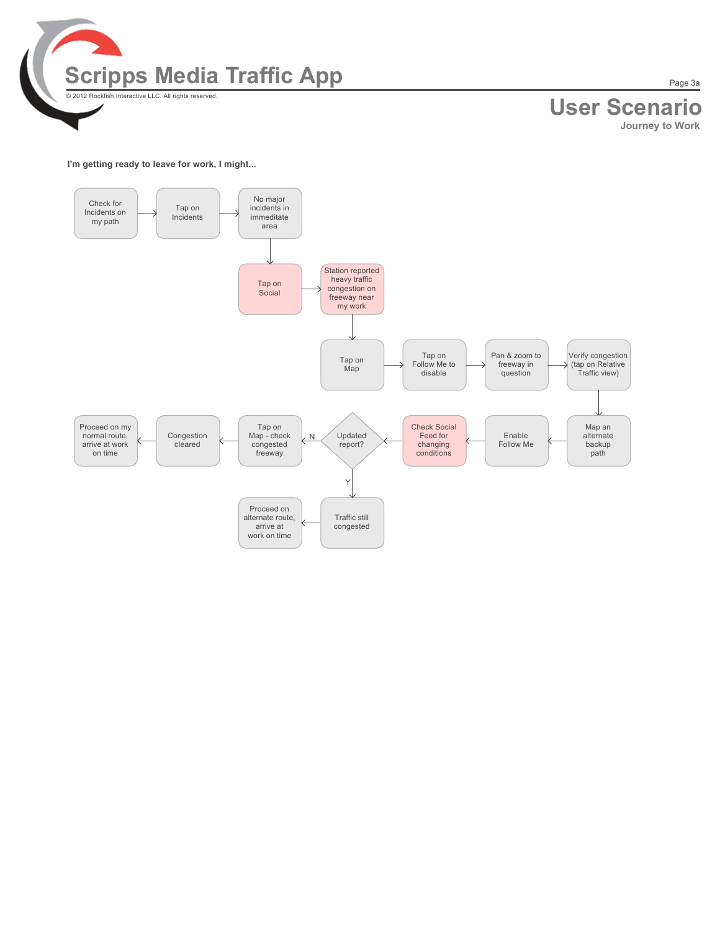

# **User Scenario**

**Journey to Work**

#### **I'm getting ready to leave for work, I might...**

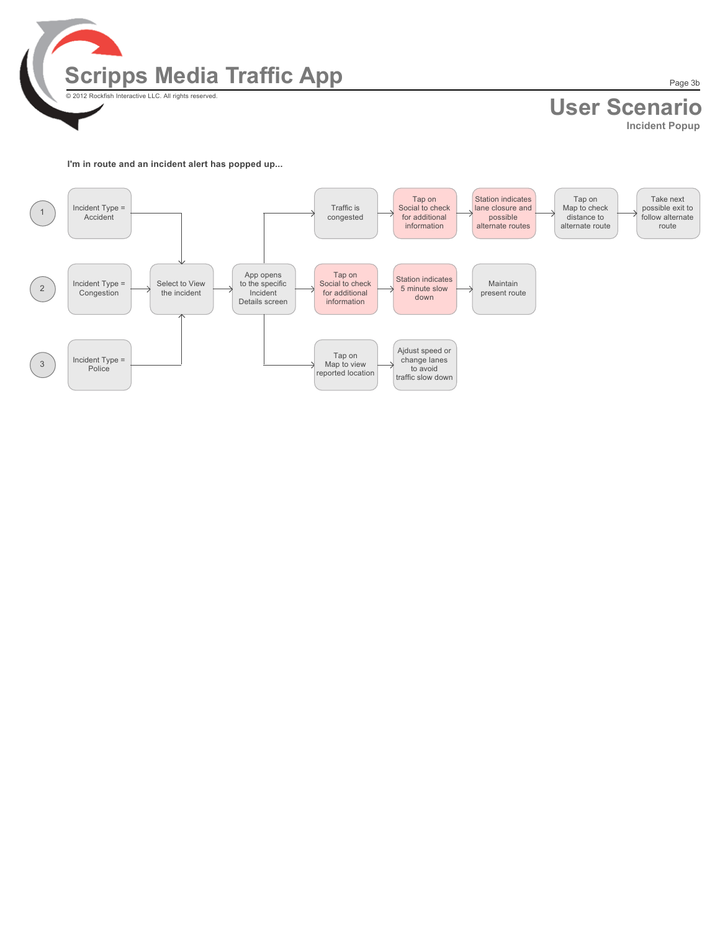

# **User Scenario**

**Incident Popup**

**I'm in route and an incident alert has popped up...**

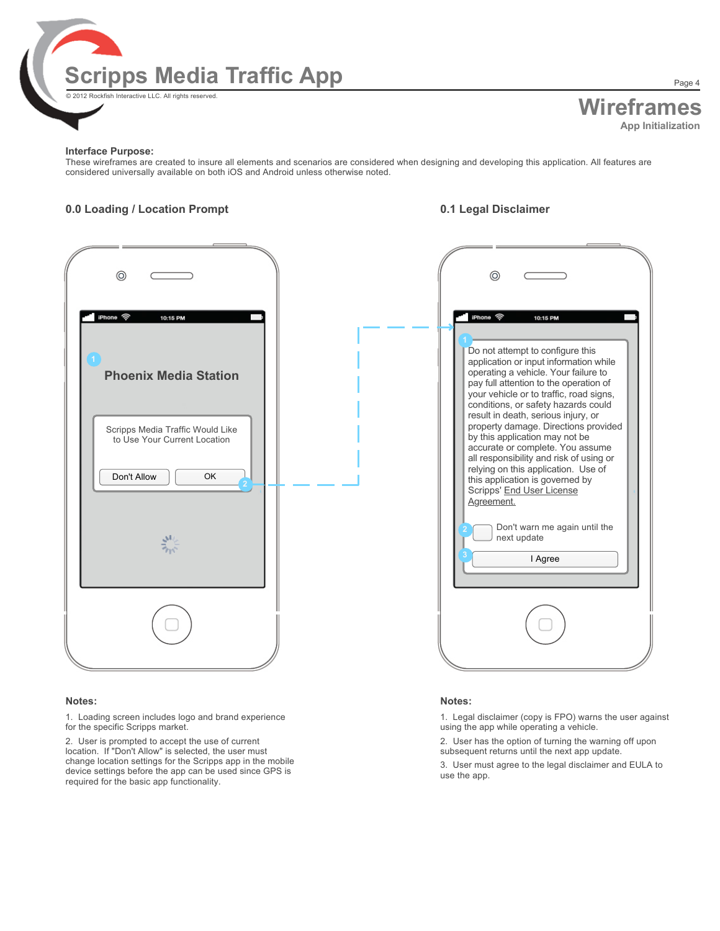

# **Wireframes App Initialization**

#### **Interface Purpose:**

These wireframes are created to insure all elements and scenarios are considered when designing and developing this application. All features are considered universally available on both iOS and Android unless otherwise noted.

#### **0.0 Loading / Location Prompt 0.1 Legal Disclaimer**



#### **Notes:**

1. Loading screen includes logo and brand experience for the specific Scripps market.

2. User is prompted to accept the use of current location. If "Don't Allow" is selected, the user must change location settings for the Scripps app in the mobile device settings before the app can be used since GPS is required for the basic app functionality.



#### **Notes:**

1. Legal disclaimer (copy is FPO) warns the user against using the app while operating a vehicle.

2. User has the option of turning the warning off upon subsequent returns until the next app update.

3. User must agree to the legal disclaimer and EULA to use the app.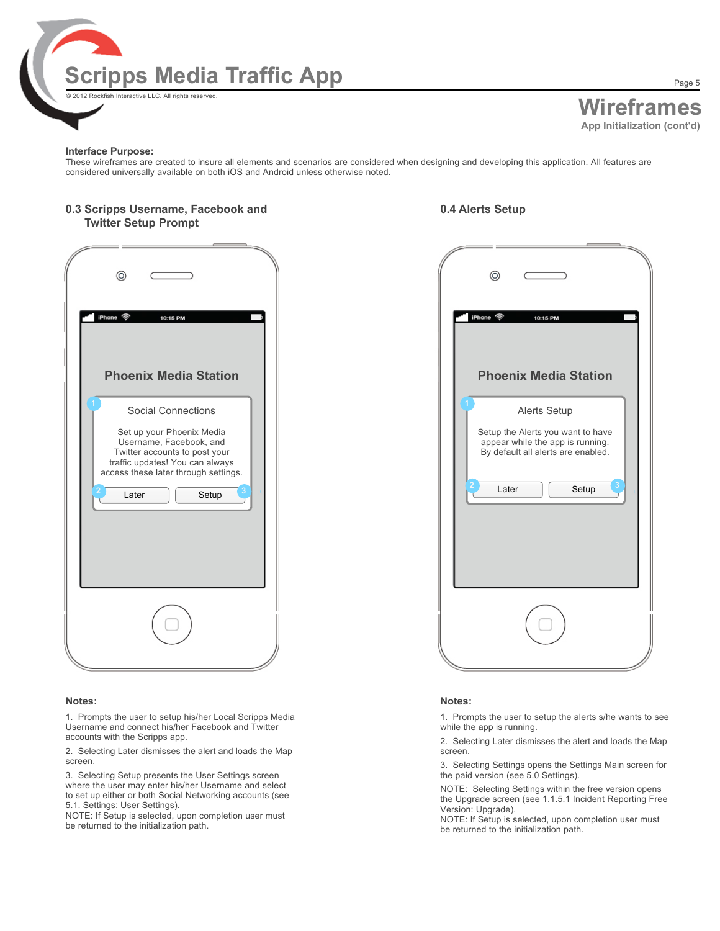

# **Wireframes App Initialization (cont'd)**

Page 5

#### **Interface Purpose:**

These wireframes are created to insure all elements and scenarios are considered when designing and developing this application. All features are considered universally available on both iOS and Android unless otherwise noted.

#### **0.3 Scripps Username, Facebook and Twitter Setup Prompt**

### **0.4 Alerts Setup**

| ⊚                                                                                                                                                                                                               |
|-----------------------------------------------------------------------------------------------------------------------------------------------------------------------------------------------------------------|
| iPhone ඉ<br>10:15 PM<br><b>Phoenix Media Station</b>                                                                                                                                                            |
| <b>Social Connections</b><br>Set up your Phoenix Media<br>Username, Facebook, and<br>Twitter accounts to post your<br>traffic updates! You can always<br>access these later through settings.<br>Later<br>Setup |
|                                                                                                                                                                                                                 |

#### **Notes:**

1. Prompts the user to setup his/her Local Scripps Media Username and connect his/her Facebook and Twitter accounts with the Scripps app.

2. Selecting Later dismisses the alert and loads the Map screen.

3. Selecting Setup presents the User Settings screen where the user may enter his/her Username and select to set up either or both Social Networking accounts (see 5.1. Settings: User Settings).

NOTE: If Setup is selected, upon completion user must be returned to the initialization path.

| ⊚                                                                                                                                                  |
|----------------------------------------------------------------------------------------------------------------------------------------------------|
| iPhone ඉ<br>10:15 PM<br><b>Phoenix Media Station</b>                                                                                               |
| Alerts Setup<br>Setup the Alerts you want to have<br>appear while the app is running.<br>By default all alerts are enabled.<br>3<br>Later<br>Setup |
|                                                                                                                                                    |

#### **Notes:**

1. Prompts the user to setup the alerts s/he wants to see while the app is running.

2. Selecting Later dismisses the alert and loads the Map screen.

3. Selecting Settings opens the Settings Main screen for the paid version (see 5.0 Settings).

NOTE: Selecting Settings within the free version opens the Upgrade screen (see 1.1.5.1 Incident Reporting Free Version: Upgrade).

NOTE: If Setup is selected, upon completion user must be returned to the initialization path.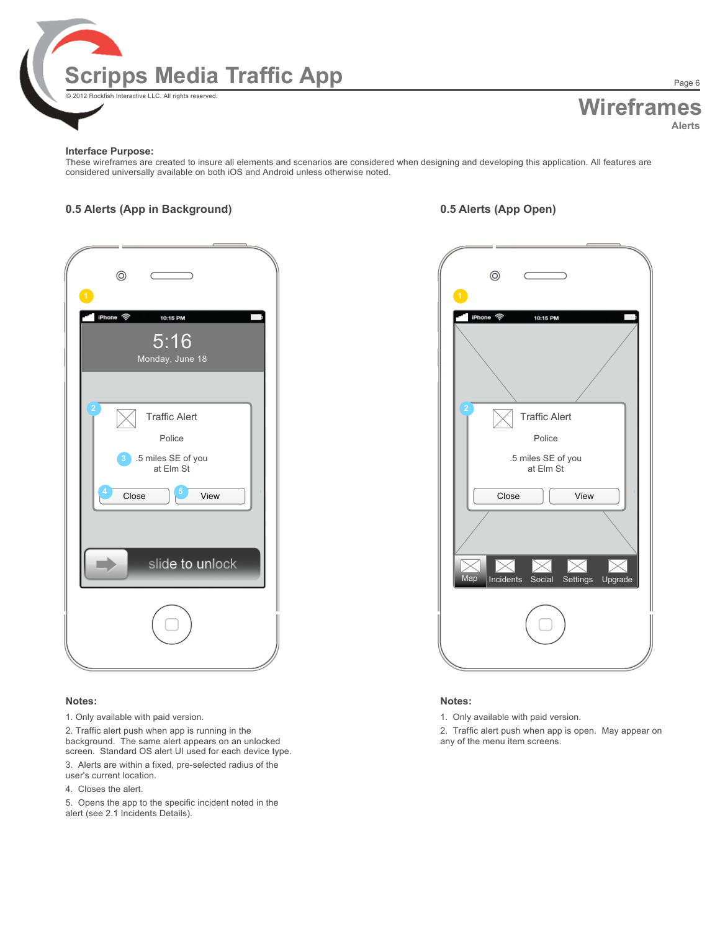

## **Wireframes Alerts** Page 6

#### **Interface Purpose:**

These wireframes are created to insure all elements and scenarios are considered when designing and developing this application. All features are considered universally available on both iOS and Android unless otherwise noted.

### **0.5 Alerts (App in Background) 0.5 Alerts (App Open)**

| $^{\circ}$<br>$\overline{1}$<br>iPhone 令<br>10:15 PM<br>5:16<br>Monday, June 18              | $\mathbf{A}$ |
|----------------------------------------------------------------------------------------------|--------------|
| <b>Traffic Alert</b><br>Police<br>.5 miles SE of you<br>at Elm St<br>3<br>5<br>Close<br>View |              |
| slide to unlock                                                                              |              |
|                                                                                              |              |

#### **Notes:**

1. Only available with paid version.

2. Traffic alert push when app is running in the background. The same alert appears on an unlocked screen. Standard OS alert UI used for each device type.

- 3. Alerts are within a fixed, pre-selected radius of the
- user's current location.
- 4. Closes the alert.

5. Opens the app to the specific incident noted in the alert (see 2.1 Incidents Details).

| $^{\circ}$                                        |
|---------------------------------------------------|
| iPhone 令<br>10:15 PM                              |
| <b>Traffic Alert</b>                              |
| Police<br>.5 miles SE of you<br>at Elm St         |
| Close<br>View                                     |
| Map<br>Incidents<br>Settings<br>Upgrade<br>Social |
|                                                   |

#### **Notes:**

1. Only available with paid version.

2. Traffic alert push when app is open. May appear on any of the menu item screens.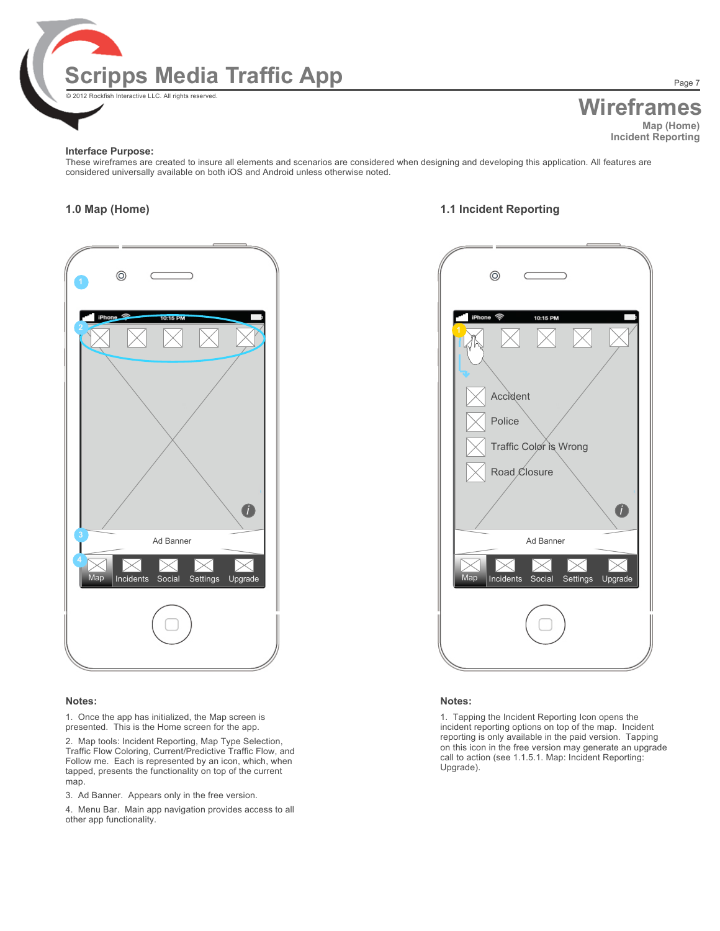

# **Wireframes**

**Map (Home) Incident Reporting**

Page 7

#### **Interface Purpose:**

These wireframes are created to insure all elements and scenarios are considered when designing and developing this application. All features are considered universally available on both iOS and Android unless otherwise noted.

### **1.0 Map (Home) 1.1 Incident Reporting**



#### **Notes:**

1. Once the app has initialized, the Map screen is presented. This is the Home screen for the app.

2. Map tools: Incident Reporting, Map Type Selection, Traffic Flow Coloring, Current/Predictive Traffic Flow, and Follow me. Each is represented by an icon, which, when tapped, presents the functionality on top of the current map.

3. Ad Banner. Appears only in the free version.

4. Menu Bar. Main app navigation provides access to all other app functionality.



#### **Notes:**

1. Tapping the Incident Reporting Icon opens the incident reporting options on top of the map. Incident reporting is only available in the paid version. Tapping on this icon in the free version may generate an upgrade call to action (see 1.1.5.1. Map: Incident Reporting: Upgrade).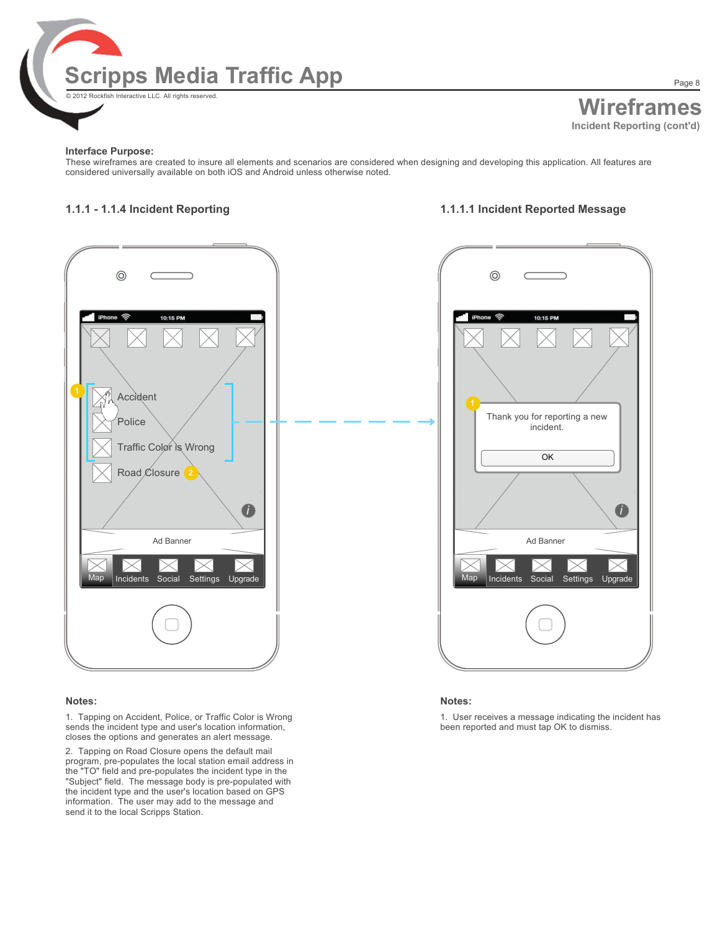

Page 8

#### **Interface Purpose:**

These wireframes are created to insure all elements and scenarios are considered when designing and developing this application. All features are considered universally available on both iOS and Android unless otherwise noted.

### **1.1.1 - 1.1.4 Incident Reporting 1.1.1.1 Incident Reported Message**



#### **Notes:**

1. Tapping on Accident, Police, or Traffic Color is Wrong sends the incident type and user's location information, closes the options and generates an alert message.

2. Tapping on Road Closure opens the default mail program, pre-populates the local station email address in the "TO" field and pre-populates the incident type in the "Subject" field. The message body is pre-populated with the incident type and the user's location based on GPS information. The user may add to the message and send it to the local Scripps Station.



#### **Notes:**

1. User receives a message indicating the incident has been reported and must tap OK to dismiss.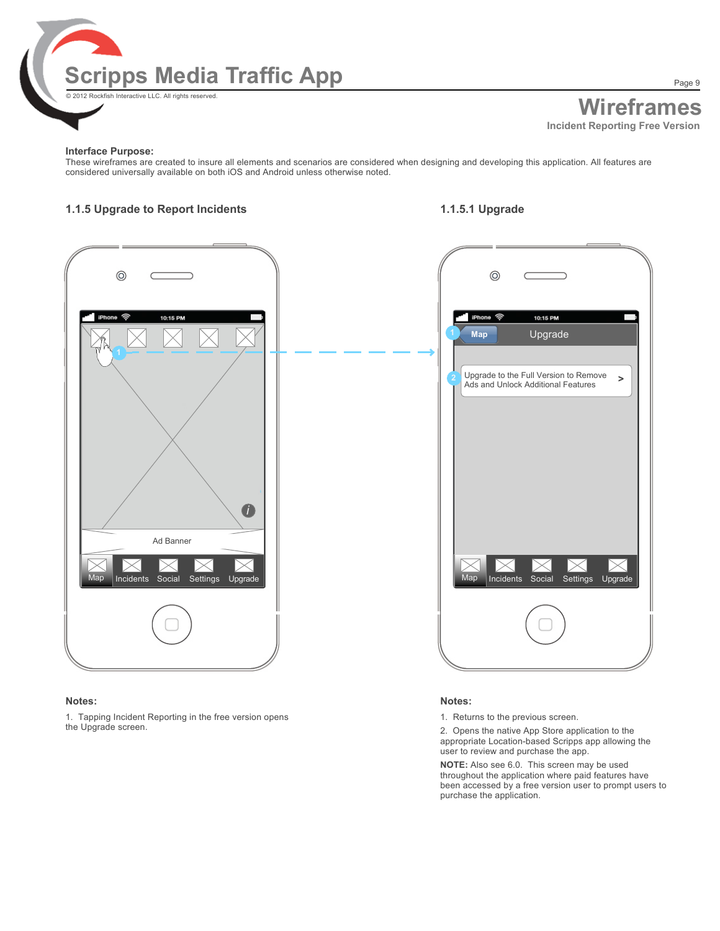

Page 9

#### **Interface Purpose:**

These wireframes are created to insure all elements and scenarios are considered when designing and developing this application. All features are considered universally available on both iOS and Android unless otherwise noted.

### **1.1.5 Upgrade to Report Incidents 1.1.5.1 Upgrade**



#### **Notes:**

1. Tapping Incident Reporting in the free version opens the Upgrade screen.

#### **Notes:**

1. Returns to the previous screen.

2. Opens the native App Store application to the appropriate Location-based Scripps app allowing the user to review and purchase the app.

**NOTE:** Also see 6.0. This screen may be used throughout the application where paid features have been accessed by a free version user to prompt users to purchase the application.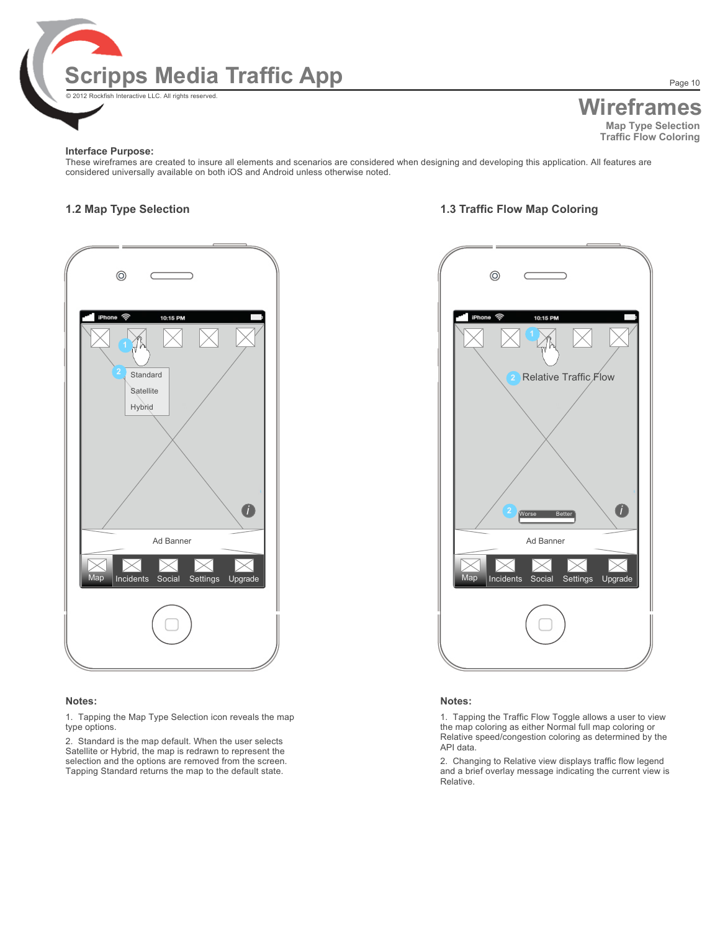

## **Wireframes Map Type Selection Traffic Flow Coloring**

#### **Interface Purpose:**

These wireframes are created to insure all elements and scenarios are considered when designing and developing this application. All features are considered universally available on both iOS and Android unless otherwise noted.



#### **Notes:**

1. Tapping the Map Type Selection icon reveals the map type options.

2. Standard is the map default. When the user selects Satellite or Hybrid, the map is redrawn to represent the selection and the options are removed from the screen. Tapping Standard returns the map to the default state.

### **1.2 Map Type Selection 1.3 Traffic Flow Map Coloring**



#### **Notes:**

1. Tapping the Traffic Flow Toggle allows a user to view the map coloring as either Normal full map coloring or Relative speed/congestion coloring as determined by the API data.

2. Changing to Relative view displays traffic flow legend and a brief overlay message indicating the current view is Relative.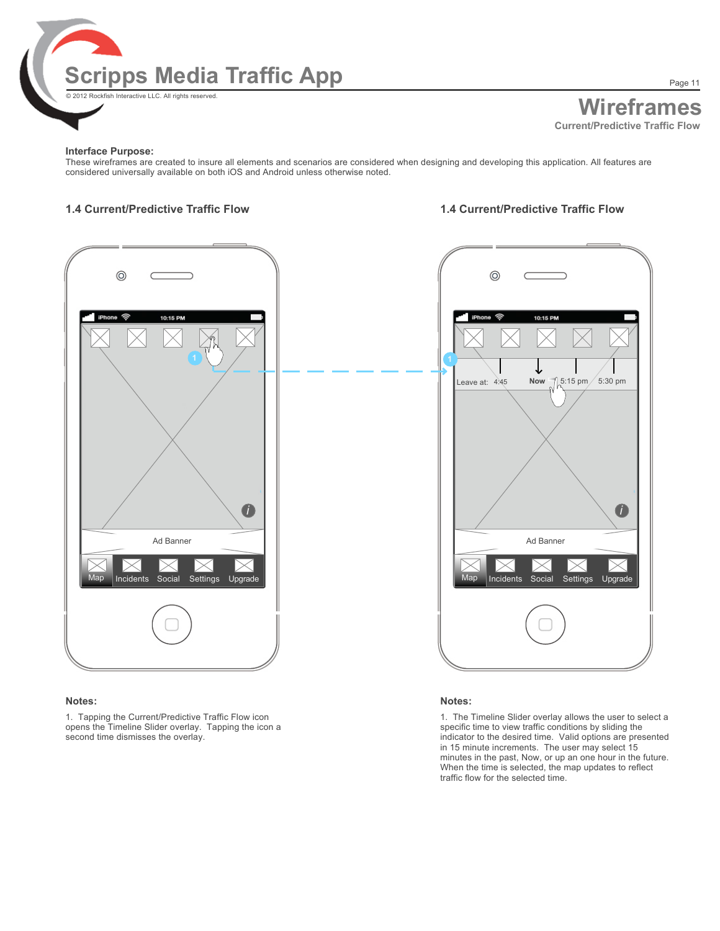

Page 11

#### **Interface Purpose:**

These wireframes are created to insure all elements and scenarios are considered when designing and developing this application. All features are considered universally available on both iOS and Android unless otherwise noted.

### **1.4 Current/Predictive Traffic Flow 1.4 Current/Predictive Traffic Flow**



#### **Notes:**

1. Tapping the Current/Predictive Traffic Flow icon opens the Timeline Slider overlay. Tapping the icon a second time dismisses the overlay.



#### **Notes:**

1. The Timeline Slider overlay allows the user to select a specific time to view traffic conditions by sliding the indicator to the desired time. Valid options are presented in 15 minute increments. The user may select 15 minutes in the past, Now, or up an one hour in the future. When the time is selected, the map updates to reflect traffic flow for the selected time.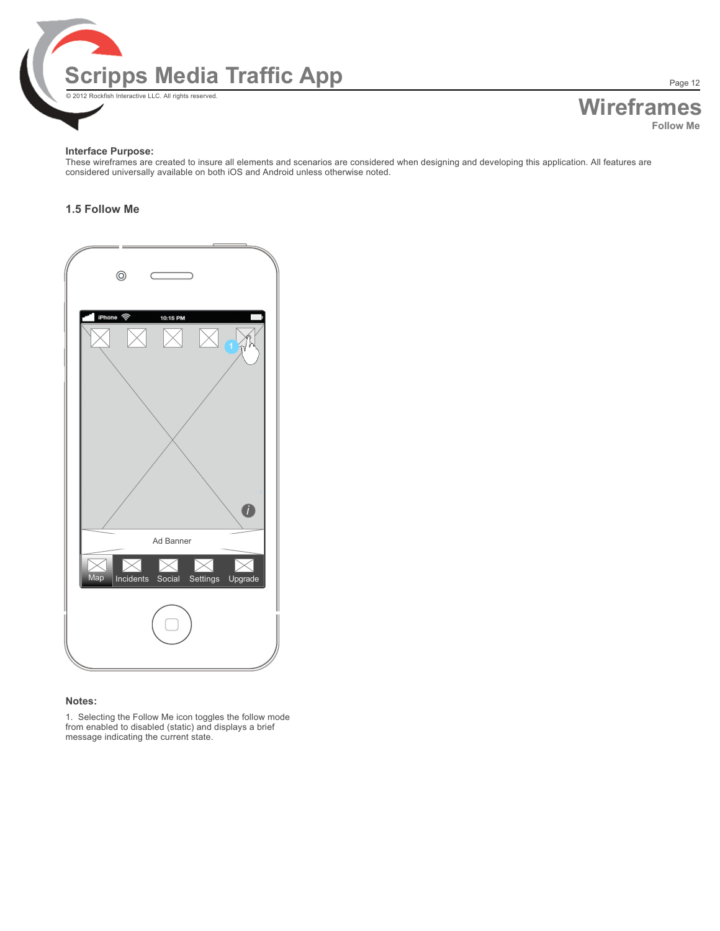

**Wireframes Follow Me**

Page 12

#### **Interface Purpose:**

These wireframes are created to insure all elements and scenarios are considered when designing and developing this application. All features are considered universally available on both iOS and Android unless otherwise noted.

### **1.5 Follow Me**

| $\circledcirc$<br>$\sim$ $\sim$                     |  |
|-----------------------------------------------------|--|
| iPhone <b>令</b><br>10:15 PM<br>'n                   |  |
|                                                     |  |
|                                                     |  |
| $\bullet$<br>Ad Banner                              |  |
| レ৴<br>▷<br>Map<br>Incidents Social Settings Upgrade |  |
|                                                     |  |
|                                                     |  |

#### **Notes:**

1. Selecting the Follow Me icon toggles the follow mode from enabled to disabled (static) and displays a brief message indicating the current state.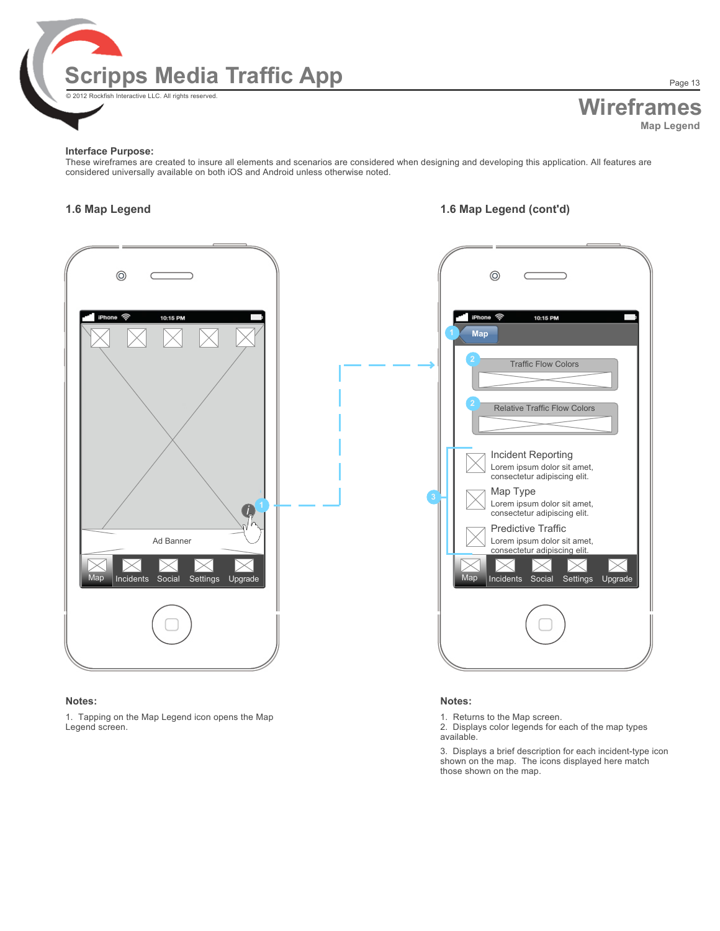

# **Wireframes Map Legend**

#### **Interface Purpose:**

These wireframes are created to insure all elements and scenarios are considered when designing and developing this application. All features are considered universally available on both iOS and Android unless otherwise noted.

### **1.6 Map Legend 1.6 Map Legend (cont'd)**



#### **Notes:**

1. Tapping on the Map Legend icon opens the Map Legend screen.

#### **Notes:**

1. Returns to the Map screen.

2. Displays color legends for each of the map types available.

3. Displays a brief description for each incident-type icon shown on the map. The icons displayed here match those shown on the map.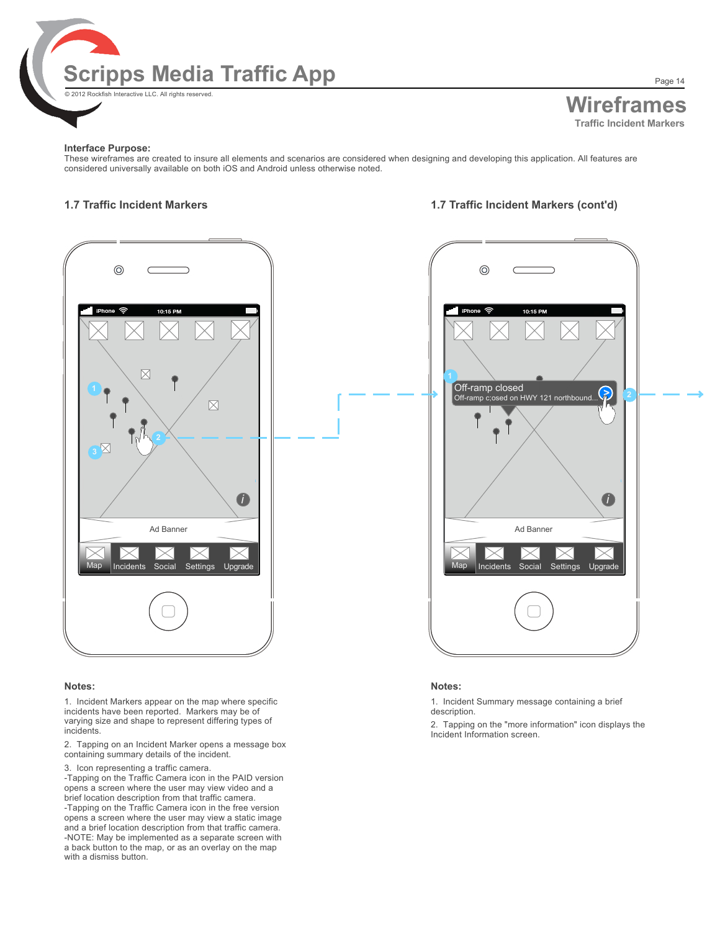

Page 14

#### **Interface Purpose:**

These wireframes are created to insure all elements and scenarios are considered when designing and developing this application. All features are considered universally available on both iOS and Android unless otherwise noted.

#### **1.7 Traffic Incident Markers 1.7 Traffic Incident Markers (cont'd)**



#### **Notes:**

1. Incident Markers appear on the map where specific incidents have been reported. Markers may be of varying size and shape to represent differing types of incidents.

2. Tapping on an Incident Marker opens a message box containing summary details of the incident.

3. Icon representing a traffic camera.

-Tapping on the Traffic Camera icon in the PAID version opens a screen where the user may view video and a brief location description from that traffic camera. -Tapping on the Traffic Camera icon in the free version opens a screen where the user may view a static image and a brief location description from that traffic camera. -NOTE: May be implemented as a separate screen with a back button to the map, or as an overlay on the map with a dismiss button.



#### **Notes:**

1. Incident Summary message containing a brief description.

2. Tapping on the "more information" icon displays the Incident Information screen.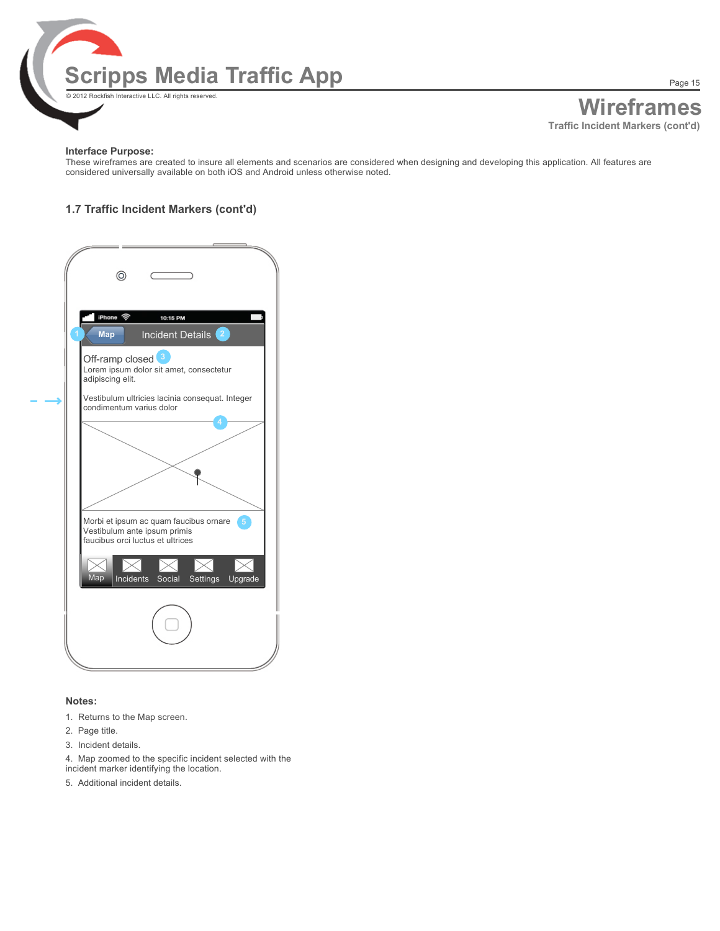

#### **Interface Purpose:**

These wireframes are created to insure all elements and scenarios are considered when designing and developing this application. All features are considered universally available on both iOS and Android unless otherwise noted.

### **1.7 Traffic Incident Markers (cont'd)**

| $^{\circ}$                                                                                                   |
|--------------------------------------------------------------------------------------------------------------|
| iPhone 令<br>10:15 PM<br>Incident Details <sup>2</sup><br>Map                                                 |
| Off-ramp closed<br>Lorem ipsum dolor sit amet, consectetur<br>adipiscing elit.                               |
| Vestibulum ultricies lacinia consequat. Integer<br>condimentum varius dolor                                  |
|                                                                                                              |
| Morbi et ipsum ac quam faucibus ornare 6<br>Vestibulum ante ipsum primis<br>faucibus orci luctus et ultrices |
| $\bowtie$<br>Map<br>Incidents Social Settings Upgrade                                                        |
|                                                                                                              |
|                                                                                                              |

#### **Notes:**

- 1. Returns to the Map screen.
- 2. Page title.
- 3. Incident details.
- 4. Map zoomed to the specific incident selected with the
- incident marker identifying the location.
- 5. Additional incident details.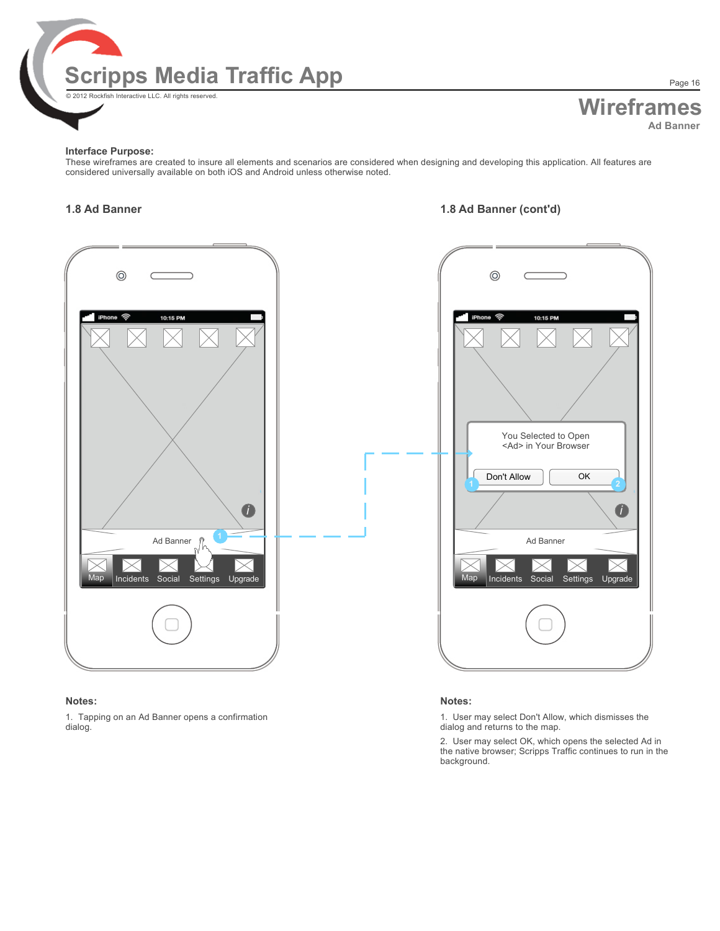

**Wireframes Ad Banner**

#### **Interface Purpose:**

These wireframes are created to insure all elements and scenarios are considered when designing and developing this application. All features are considered universally available on both iOS and Android unless otherwise noted.

### **1.8 Ad Banner 1.8 Ad Banner (cont'd)**



#### **Notes:**

1. Tapping on an Ad Banner opens a confirmation dialog.



#### **Notes:**

1. User may select Don't Allow, which dismisses the dialog and returns to the map.

2. User may select OK, which opens the selected Ad in the native browser; Scripps Traffic continues to run in the background.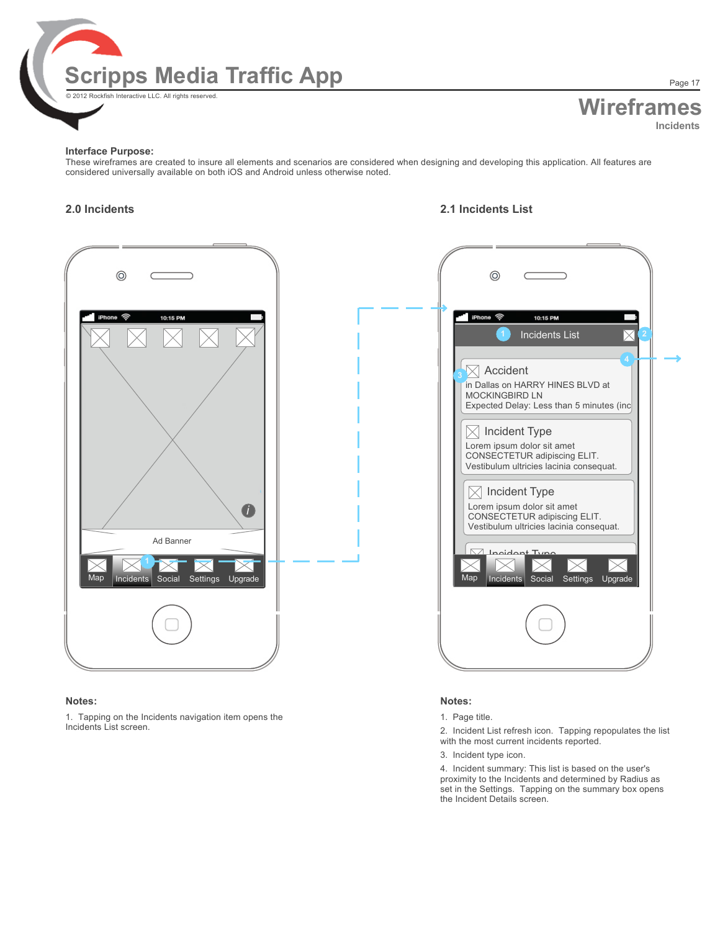

# **Wireframes Incidents**

#### **Interface Purpose:**

These wireframes are created to insure all elements and scenarios are considered when designing and developing this application. All features are considered universally available on both iOS and Android unless otherwise noted.

### **2.0 Incidents 2.1 Incidents List**



#### **Notes:**

1. Tapping on the Incidents navigation item opens the Incidents List screen.



#### **Notes:**

#### 1. Page title.

2. Incident List refresh icon. Tapping repopulates the list with the most current incidents reported.

3. Incident type icon.

4. Incident summary: This list is based on the user's proximity to the Incidents and determined by Radius as set in the Settings. Tapping on the summary box opens the Incident Details screen.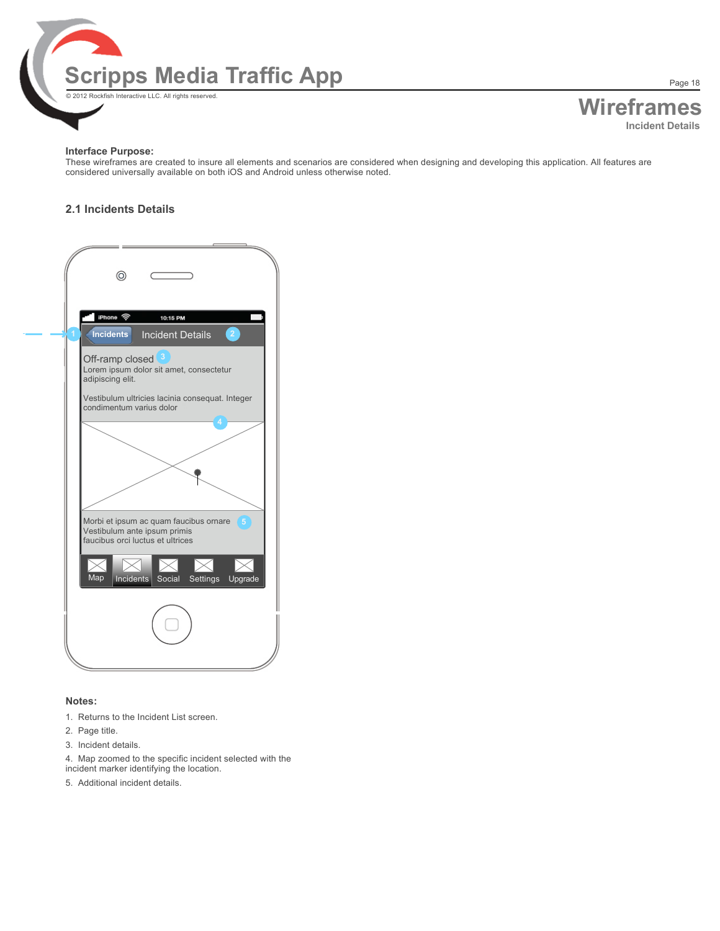

**Wireframes Incident Details**

Page 18

#### **Interface Purpose:**

These wireframes are created to insure all elements and scenarios are considered when designing and developing this application. All features are considered universally available on both iOS and Android unless otherwise noted.

### **2.1 Incidents Details**



#### **Notes:**

- 1. Returns to the Incident List screen.
- 2. Page title.
- 3. Incident details.
- 4. Map zoomed to the specific incident selected with the
- incident marker identifying the location.
- 5. Additional incident details.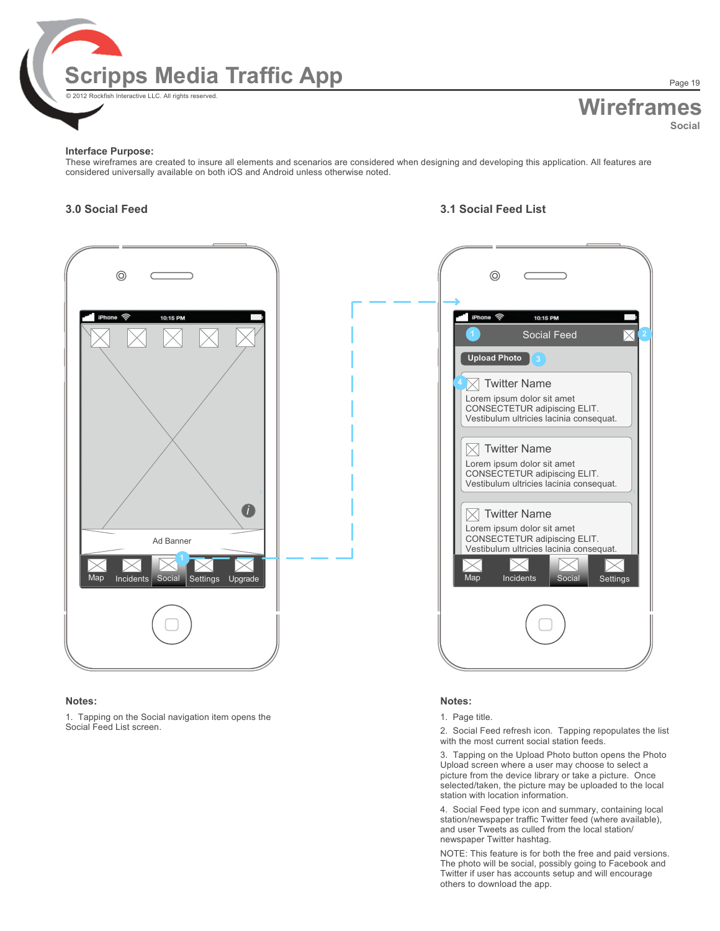

# **Wireframes Social**

Page 19

#### **Interface Purpose:**

These wireframes are created to insure all elements and scenarios are considered when designing and developing this application. All features are considered universally available on both iOS and Android unless otherwise noted.

### **3.0 Social Feed 3.1 Social Feed List**



#### **Notes:**

1. Tapping on the Social navigation item opens the Social Feed List screen.

| ⊚                   |                                                                                                                                                                 |
|---------------------|-----------------------------------------------------------------------------------------------------------------------------------------------------------------|
|                     |                                                                                                                                                                 |
| iPhone <b>T</b>     | 10:15 PM                                                                                                                                                        |
|                     | <b>Social Feed</b>                                                                                                                                              |
| <b>Upload Photo</b> |                                                                                                                                                                 |
|                     | <b>Twitter Name</b><br>Lorem ipsum dolor sit amet<br>CONSECTETUR adipiscing ELIT.<br>Vestibulum ultricies lacinia consequat.                                    |
|                     | <b>Twitter Name</b><br>Lorem ipsum dolor sit amet<br>CONSECTETUR adipiscing ELIT.<br>Vestibulum ultricies lacinia consequat.                                    |
| Map                 | <b>Twitter Name</b><br>Lorem ipsum dolor sit amet<br>CONSECTETUR adipiscing ELIT.<br>Vestibulum ultricies lacinia consequat.<br>Incidents<br>Social<br>Settings |
|                     |                                                                                                                                                                 |

#### **Notes:**

#### 1. Page title.

2. Social Feed refresh icon. Tapping repopulates the list with the most current social station feeds.

3. Tapping on the Upload Photo button opens the Photo Upload screen where a user may choose to select a picture from the device library or take a picture. Once selected/taken, the picture may be uploaded to the local station with location information.

4. Social Feed type icon and summary, containing local station/newspaper traffic Twitter feed (where available), and user Tweets as culled from the local station/ newspaper Twitter hashtag.

NOTE: This feature is for both the free and paid versions. The photo will be social, possibly going to Facebook and Twitter if user has accounts setup and will encourage others to download the app.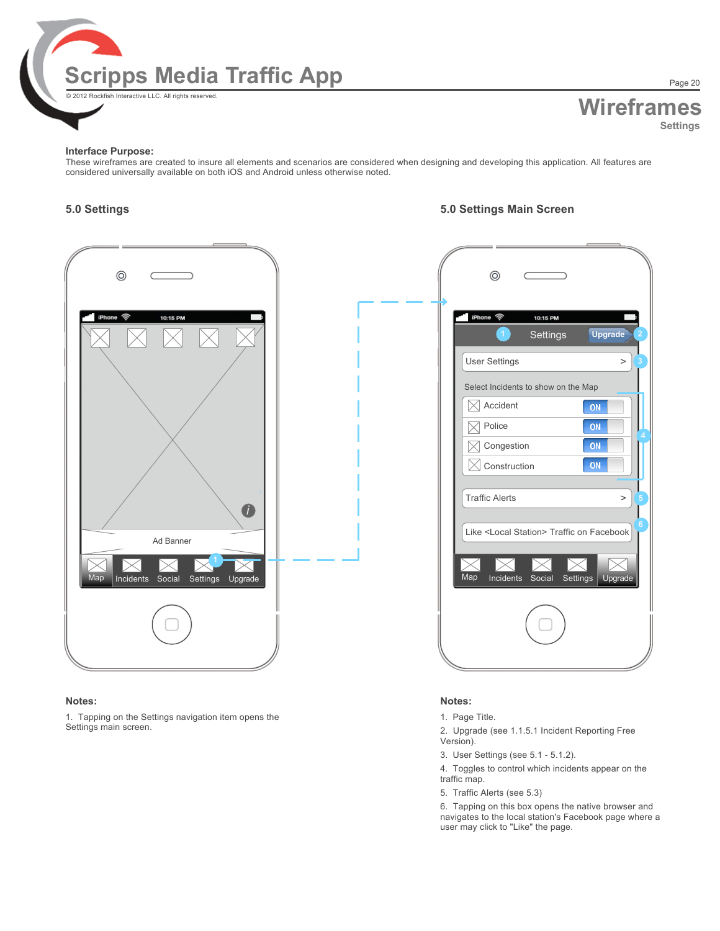

# **Wireframes Settings**

Page 20

#### **Interface Purpose:**

These wireframes are created to insure all elements and scenarios are considered when designing and developing this application. All features are considered universally available on both iOS and Android unless otherwise noted.

# **5.0 Settings 5.0 Settings Main Screen**



#### **Notes:**

1. Tapping on the Settings navigation item opens the Settings main screen.



#### **Notes:**

1. Page Title.

2. Upgrade (see 1.1.5.1 Incident Reporting Free Version).

3. User Settings (see 5.1 - 5.1.2).

4. Toggles to control which incidents appear on the traffic map.

5. Traffic Alerts (see 5.3)

6. Tapping on this box opens the native browser and navigates to the local station's Facebook page where a user may click to "Like" the page.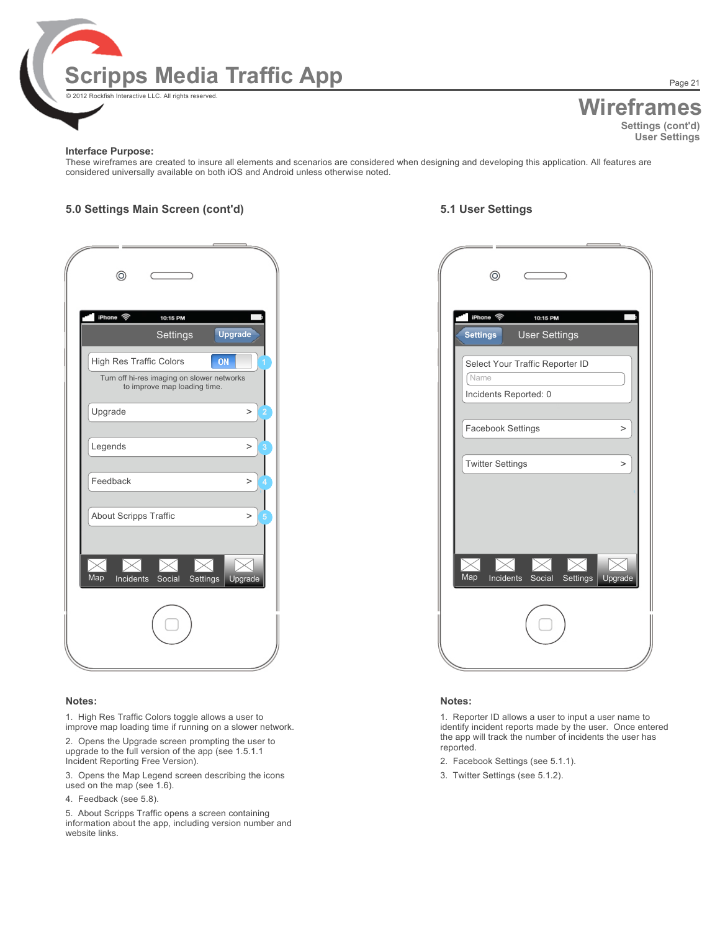

## **Wireframes Settings (cont'd) User Settings**

Page 21

#### **Interface Purpose:**

These wireframes are created to insure all elements and scenarios are considered when designing and developing this application. All features are considered universally available on both iOS and Android unless otherwise noted.

### **5.0 Settings Main Screen (cont'd) 5.1 User Settings**

| ⊚                                                                          |   |
|----------------------------------------------------------------------------|---|
| iPhone ඉ<br>10:15 PM<br><b>Upgrade</b><br><b>Settings</b>                  |   |
|                                                                            |   |
| High Res Traffic Colors<br>ON                                              |   |
| Turn off hi-res imaging on slower networks<br>to improve map loading time. |   |
| Upgrade<br>$\geq$                                                          | 2 |
|                                                                            |   |
| Legends<br>$\geq$                                                          | 3 |
|                                                                            |   |
| Feedback<br>$\geq$                                                         | 4 |
|                                                                            |   |
| <b>About Scripps Traffic</b><br>$\geq$                                     | 5 |
|                                                                            |   |
|                                                                            |   |
|                                                                            |   |
| Map<br><b>Incidents</b><br>Upgrade<br>Social<br>Settings                   |   |
|                                                                            |   |
|                                                                            |   |

#### **Notes:**

1. High Res Traffic Colors toggle allows a user to improve map loading time if running on a slower network.

2. Opens the Upgrade screen prompting the user to upgrade to the full version of the app (see 1.5.1.1 Incident Reporting Free Version).

3. Opens the Map Legend screen describing the icons used on the map (see 1.6).

4. Feedback (see 5.8).

5. About Scripps Traffic opens a screen containing information about the app, including version number and website links.

| ⊚                                                                                                                  | ⊚                                                                |
|--------------------------------------------------------------------------------------------------------------------|------------------------------------------------------------------|
| iPhone 令<br>10:15 PM<br>Upgrade<br>Settings                                                                        | iPhone 令<br>10:15 PM<br><b>User Settings</b><br><b>Settings</b>  |
| ON<br><b>High Res Traffic Colors</b><br>Turn off hi-res imaging on slower networks<br>to improve map loading time. | Select Your Traffic Reporter ID<br>Name<br>Incidents Reported: 0 |
| Upgrade<br>$\, >$                                                                                                  | Facebook Settings<br>$\rm{~}$                                    |
| Legends<br>$\, >$<br>В                                                                                             | <b>Twitter Settings</b><br>$\, > \,$                             |
| Feedback<br>$\, >$                                                                                                 |                                                                  |
| About Scripps Traffic<br>$\, >$<br>Map<br>Upgrade<br>Incidents<br>Social<br>Settings                               | <b>Map</b><br>Incidents Social<br>Settings<br>Upgrade            |
|                                                                                                                    |                                                                  |

#### **Notes:**

1. Reporter ID allows a user to input a user name to identify incident reports made by the user. Once entered the app will track the number of incidents the user has reported.

- 2. Facebook Settings (see 5.1.1).
- 3. Twitter Settings (see 5.1.2).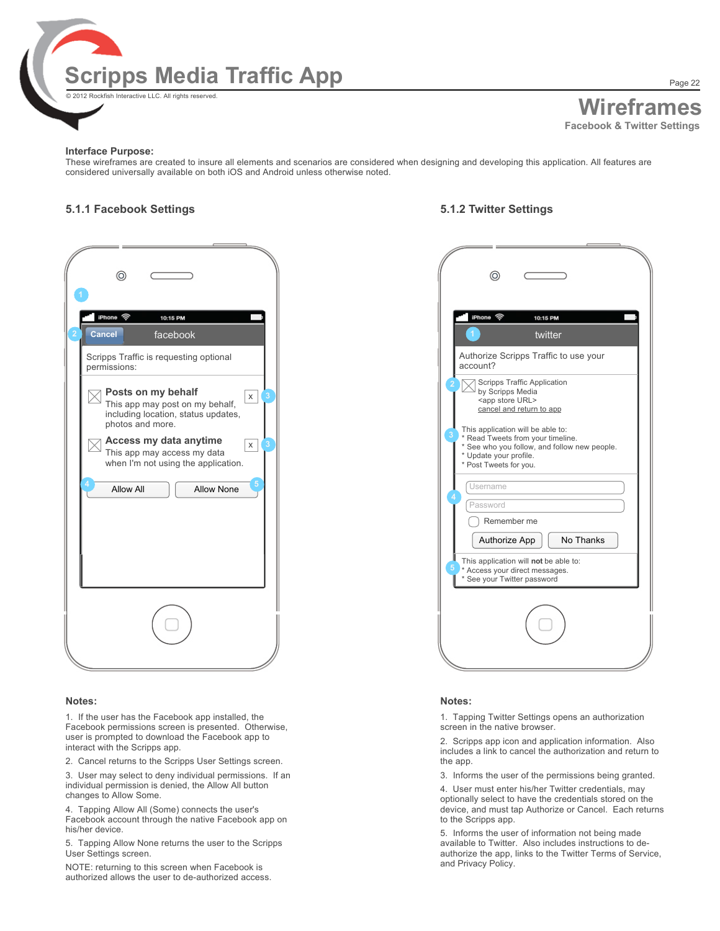

Page 22

#### **Interface Purpose:**

These wireframes are created to insure all elements and scenarios are considered when designing and developing this application. All features are considered universally available on both iOS and Android unless otherwise noted.

#### **5.1.1 Facebook Settings 5.1.2 Twitter Settings**

| ⊚                                                                                                                     |  |
|-----------------------------------------------------------------------------------------------------------------------|--|
| iPhone ඉි<br>10:15 PM<br><b>Cancel</b><br>facebook                                                                    |  |
| Scripps Traffic is requesting optional<br>permissions:                                                                |  |
| Posts on my behalf<br>X<br>This app may post on my behalf,<br>including location, status updates,<br>photos and more. |  |
| Access my data anytime<br>X<br>This app may access my data<br>when I'm not using the application.                     |  |
| 4<br><b>Allow All</b><br><b>Allow None</b>                                                                            |  |
|                                                                                                                       |  |
|                                                                                                                       |  |
|                                                                                                                       |  |

#### **Notes:**

1. If the user has the Facebook app installed, the Facebook permissions screen is presented. Otherwise, user is prompted to download the Facebook app to interact with the Scripps app.

2. Cancel returns to the Scripps User Settings screen.

3. User may select to deny individual permissions. If an individual permission is denied, the Allow All button changes to Allow Some.

4. Tapping Allow All (Some) connects the user's Facebook account through the native Facebook app on his/her device.

5. Tapping Allow None returns the user to the Scripps User Settings screen.

NOTE: returning to this screen when Facebook is authorized allows the user to de-authorized access.

| 0                                                                                                                                                                                                                                                                                | 0                                                                                                                                                                                                                                                                                                                                                                                                                                                                                            |
|----------------------------------------------------------------------------------------------------------------------------------------------------------------------------------------------------------------------------------------------------------------------------------|----------------------------------------------------------------------------------------------------------------------------------------------------------------------------------------------------------------------------------------------------------------------------------------------------------------------------------------------------------------------------------------------------------------------------------------------------------------------------------------------|
| iPhone <b>令</b><br>10:15 PM                                                                                                                                                                                                                                                      | iPhone 今<br>10:15 PM                                                                                                                                                                                                                                                                                                                                                                                                                                                                         |
| Cancel<br>facebook                                                                                                                                                                                                                                                               | twitter                                                                                                                                                                                                                                                                                                                                                                                                                                                                                      |
| Scripps Traffic is requesting optional<br>bermissions:                                                                                                                                                                                                                           | Authorize Scripps Traffic to use your<br>account?                                                                                                                                                                                                                                                                                                                                                                                                                                            |
| Posts on my behalf<br>$\mathsf X$<br>This app may post on my behalf,<br>including location, status updates,<br>photos and more.<br>Access my data anytime<br>$\mathsf X$<br>This app may access my data<br>when I'm not using the application.<br><b>Allow All</b><br>Allow None | <b>Scripps Traffic Application</b><br>by Scripps Media<br><app store="" url=""><br/>cancel and return to app<br/>This application will be able to:<br/>* Read Tweets from your timeline.<br/>* See who you follow, and follow new people.<br/>* Update your profile.<br/>* Post Tweets for you.<br/>Username<br/>Password<br/>Remember me<br/>No Thanks<br/>Authorize App<br/>This application will not be able to:<br/>* Access your direct messages.<br/>* See your Twitter password</app> |
|                                                                                                                                                                                                                                                                                  |                                                                                                                                                                                                                                                                                                                                                                                                                                                                                              |
|                                                                                                                                                                                                                                                                                  |                                                                                                                                                                                                                                                                                                                                                                                                                                                                                              |

#### **Notes:**

1. Tapping Twitter Settings opens an authorization screen in the native browser.

2. Scripps app icon and application information. Also includes a link to cancel the authorization and return to the app.

3. Informs the user of the permissions being granted.

4. User must enter his/her Twitter credentials, may optionally select to have the credentials stored on the device, and must tap Authorize or Cancel. Each returns to the Scripps app.

5. Informs the user of information not being made available to Twitter. Also includes instructions to deauthorize the app, links to the Twitter Terms of Service, and Privacy Policy.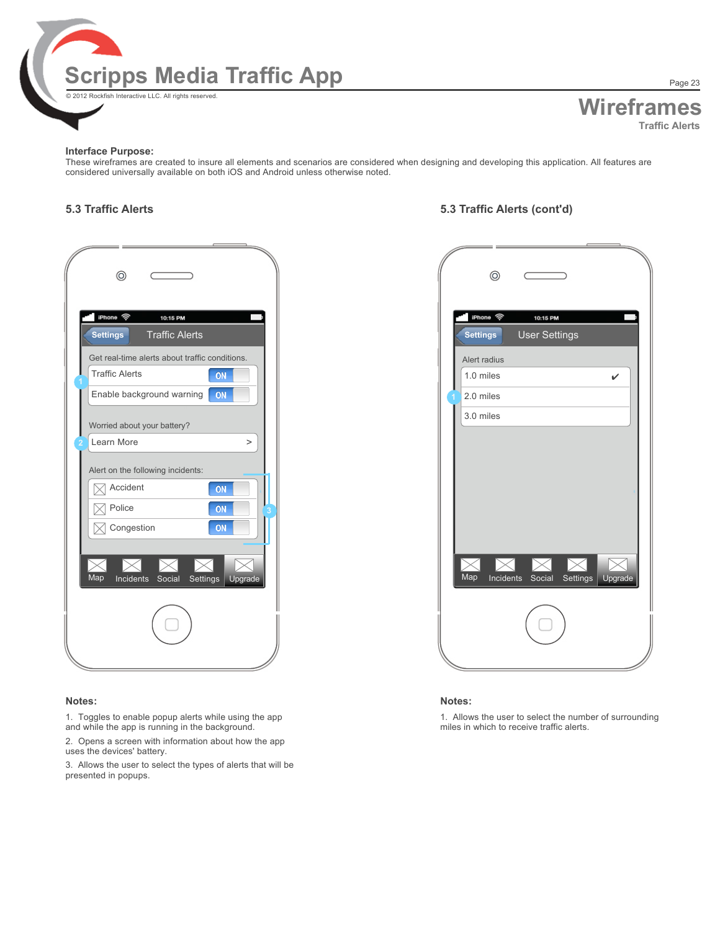

# **Wireframes Traffic Alerts**

#### **Interface Purpose:**

These wireframes are created to insure all elements and scenarios are considered when designing and developing this application. All features are considered universally available on both iOS and Android unless otherwise noted.

| ⊚                                                                       |                     |
|-------------------------------------------------------------------------|---------------------|
| iPhone <b>?</b><br>10:15 PM<br><b>Traffic Alerts</b><br><b>Settings</b> |                     |
| Get real-time alerts about traffic conditions.                          |                     |
| <b>Traffic Alerts</b>                                                   | ON                  |
| Enable background warning                                               | ON                  |
| Worried about your battery?                                             |                     |
| Learn More                                                              | $\geq$              |
| Alert on the following incidents:                                       |                     |
| Accident                                                                | ON                  |
| Police                                                                  | ON                  |
| Congestion                                                              | ON                  |
|                                                                         |                     |
| Map<br>Incidents<br>Social                                              | Upgrade<br>Settings |
|                                                                         |                     |
|                                                                         |                     |

#### **Notes:**

1. Toggles to enable popup alerts while using the app and while the app is running in the background.

2. Opens a screen with information about how the app uses the devices' battery.

3. Allows the user to select the types of alerts that will be presented in popups.

### **5.3 Traffic Alerts 5.3 Traffic Alerts (cont'd)**

| $^{\circ}$                                                                    | ⊚                                                               |
|-------------------------------------------------------------------------------|-----------------------------------------------------------------|
| iPhone 令<br>10:15 PM<br><b>Traffic Alerts</b><br><b>Settings</b>              | iPhone 令<br>10:15 PM<br><b>User Settings</b><br><b>Settings</b> |
| Get real-time alerts about traffic conditions.<br><b>Traffic Alerts</b><br>ON | Alert radius<br>1.0 miles<br>$\checkmark$                       |
| ON<br>Enable background warning                                               | 2.0 miles                                                       |
| Worried about your battery?                                                   | 3.0 miles                                                       |
| Learn More<br>$\,>$                                                           |                                                                 |
| Alert on the following incidents:                                             |                                                                 |
| Accident<br>$\boxtimes$<br>ON                                                 |                                                                 |
| Police<br>ON<br>$\boxtimes$                                                   |                                                                 |
| ON<br>Congestion<br>$\boxtimes$                                               |                                                                 |
| Map<br>Incidents Social<br>Settings<br>Upgrade                                | Map<br>Incidents Social Settings<br>Upgrade                     |
|                                                                               |                                                                 |
|                                                                               |                                                                 |

#### **Notes:**

1. Allows the user to select the number of surrounding miles in which to receive traffic alerts.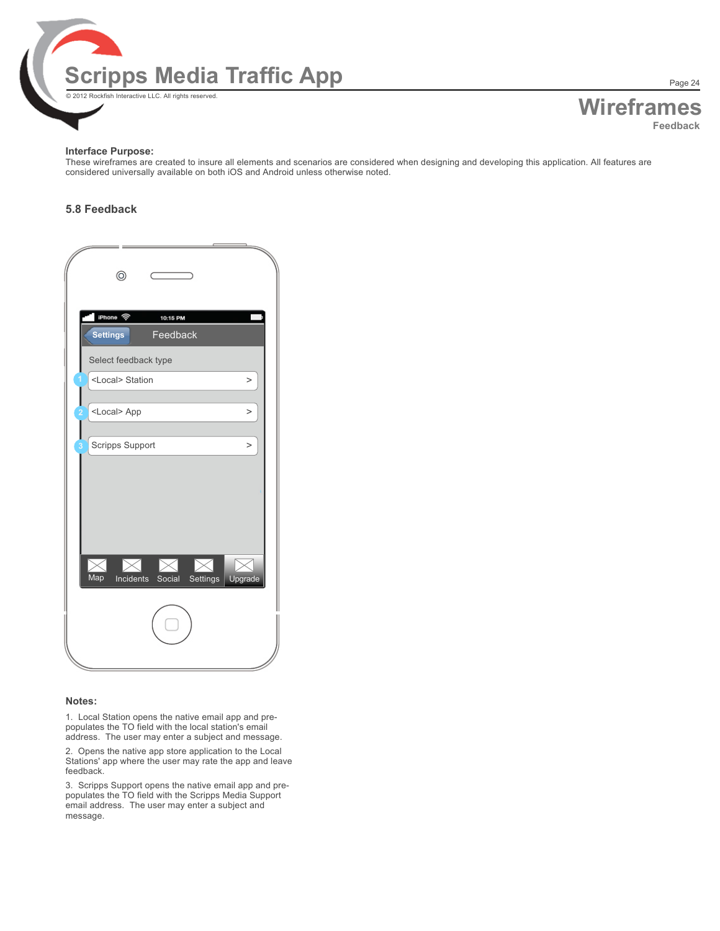

**Wireframes Feedback**

#### **Interface Purpose:**

These wireframes are created to insure all elements and scenarios are considered when designing and developing this application. All features are considered universally available on both iOS and Android unless otherwise noted.

### **5.8 Feedback**

| $\circledcirc$                                                   |  |
|------------------------------------------------------------------|--|
|                                                                  |  |
| iPhone 令<br>10:15 PM                                             |  |
| Feedback<br>Settings                                             |  |
| Select feedback type                                             |  |
| <local> Station<br/><math display="inline">\,&gt;</math></local> |  |
| <local> App<br/><math display="inline">\, &gt;</math></local>    |  |
|                                                                  |  |
| Scripps Support<br>$\,>$                                         |  |
|                                                                  |  |
|                                                                  |  |
|                                                                  |  |
|                                                                  |  |
| ▷<br>D<br>D                                                      |  |
| Map<br>Incidents Social Settings<br>Upgrade                      |  |
|                                                                  |  |
|                                                                  |  |
|                                                                  |  |
|                                                                  |  |

#### **Notes:**

1. Local Station opens the native email app and prepopulates the TO field with the local station's email address. The user may enter a subject and message.

2. Opens the native app store application to the Local Stations' app where the user may rate the app and leave feedback.

3. Scripps Support opens the native email app and prepopulates the TO field with the Scripps Media Support email address. The user may enter a subject and message.